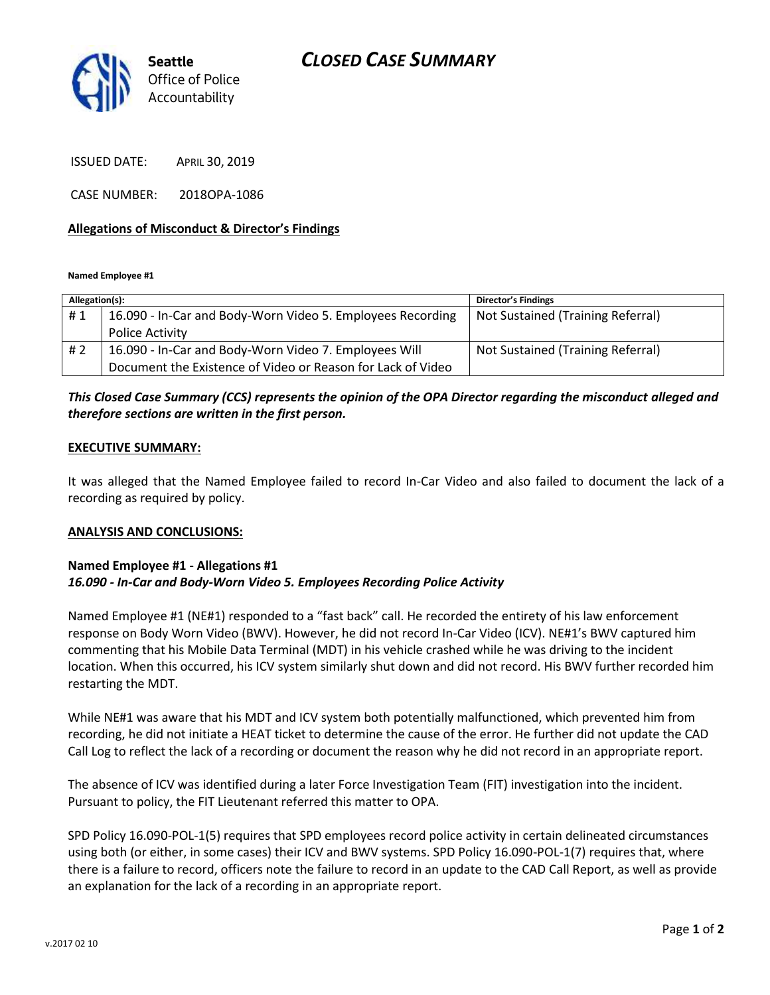

ISSUED DATE: APRIL 30, 2019

CASE NUMBER: 2018OPA-1086

#### **Allegations of Misconduct & Director's Findings**

**Named Employee #1**

| Allegation(s): |                                                             | <b>Director's Findings</b>        |
|----------------|-------------------------------------------------------------|-----------------------------------|
| #1             | 16.090 - In-Car and Body-Worn Video 5. Employees Recording  | Not Sustained (Training Referral) |
|                | <b>Police Activity</b>                                      |                                   |
| #2             | 16.090 - In-Car and Body-Worn Video 7. Employees Will       | Not Sustained (Training Referral) |
|                | Document the Existence of Video or Reason for Lack of Video |                                   |

### *This Closed Case Summary (CCS) represents the opinion of the OPA Director regarding the misconduct alleged and therefore sections are written in the first person.*

#### **EXECUTIVE SUMMARY:**

It was alleged that the Named Employee failed to record In-Car Video and also failed to document the lack of a recording as required by policy.

#### **ANALYSIS AND CONCLUSIONS:**

#### **Named Employee #1 - Allegations #1** *16.090 - In-Car and Body-Worn Video 5. Employees Recording Police Activity*

Named Employee #1 (NE#1) responded to a "fast back" call. He recorded the entirety of his law enforcement response on Body Worn Video (BWV). However, he did not record In-Car Video (ICV). NE#1's BWV captured him commenting that his Mobile Data Terminal (MDT) in his vehicle crashed while he was driving to the incident location. When this occurred, his ICV system similarly shut down and did not record. His BWV further recorded him restarting the MDT.

While NE#1 was aware that his MDT and ICV system both potentially malfunctioned, which prevented him from recording, he did not initiate a HEAT ticket to determine the cause of the error. He further did not update the CAD Call Log to reflect the lack of a recording or document the reason why he did not record in an appropriate report.

The absence of ICV was identified during a later Force Investigation Team (FIT) investigation into the incident. Pursuant to policy, the FIT Lieutenant referred this matter to OPA.

SPD Policy 16.090-POL-1(5) requires that SPD employees record police activity in certain delineated circumstances using both (or either, in some cases) their ICV and BWV systems. SPD Policy 16.090-POL-1(7) requires that, where there is a failure to record, officers note the failure to record in an update to the CAD Call Report, as well as provide an explanation for the lack of a recording in an appropriate report.